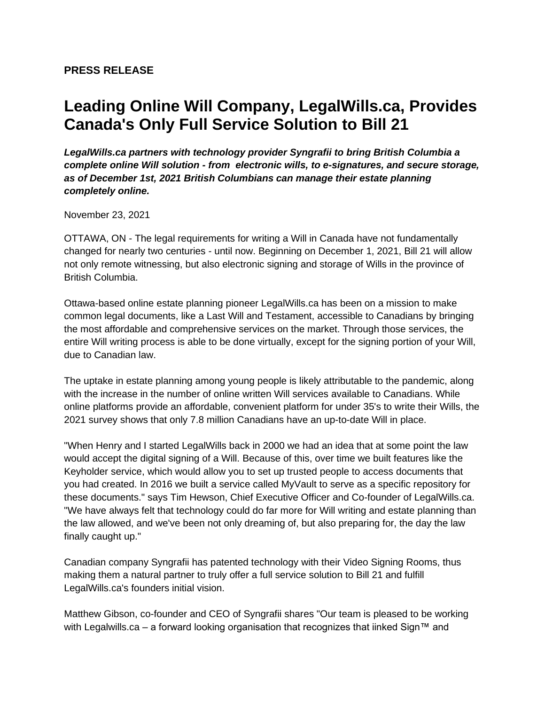## **Leading Online Will Company, LegalWills.ca, Provides Canada's Only Full Service Solution to Bill 21**

*LegalWills.ca partners with technology provider Syngrafii to bring British Columbia a complete online Will solution - from electronic wills, to e-signatures, and secure storage, as of December 1st, 2021 British Columbians can manage their estate planning completely online.*

November 23, 2021

OTTAWA, ON - The legal requirements for writing a Will in Canada have not fundamentally changed for nearly two centuries - until now. Beginning on December 1, 2021, Bill 21 will allow not only remote witnessing, but also electronic signing and storage of Wills in the province of British Columbia.

Ottawa-based online estate planning pioneer LegalWills.ca has been on a mission to make common legal documents, like a Last Will and Testament, accessible to Canadians by bringing the most affordable and comprehensive services on the market. Through those services, the entire Will writing process is able to be done virtually, except for the signing portion of your Will, due to Canadian law.

The uptake in estate planning among young people is likely attributable to the pandemic, along with the increase in the number of online written Will services available to Canadians. While online platforms provide an affordable, convenient platform for under 35's to write their Wills, the 2021 survey shows that only 7.8 million Canadians have an up-to-date Will in place.

"When Henry and I started LegalWills back in 2000 we had an idea that at some point the law would accept the digital signing of a Will. Because of this, over time we built features like the Keyholder service, which would allow you to set up trusted people to access documents that you had created. In 2016 we built a service called MyVault to serve as a specific repository for these documents." says Tim Hewson, Chief Executive Officer and Co-founder of LegalWills.ca. "We have always felt that technology could do far more for Will writing and estate planning than the law allowed, and we've been not only dreaming of, but also preparing for, the day the law finally caught up."

Canadian company Syngrafii has patented technology with their Video Signing Rooms, thus making them a natural partner to truly offer a full service solution to Bill 21 and fulfill LegalWills.ca's founders initial vision.

Matthew Gibson, co-founder and CEO of Syngrafii shares "Our team is pleased to be working with Legalwills.ca – a forward looking organisation that recognizes that iinked Sign™ and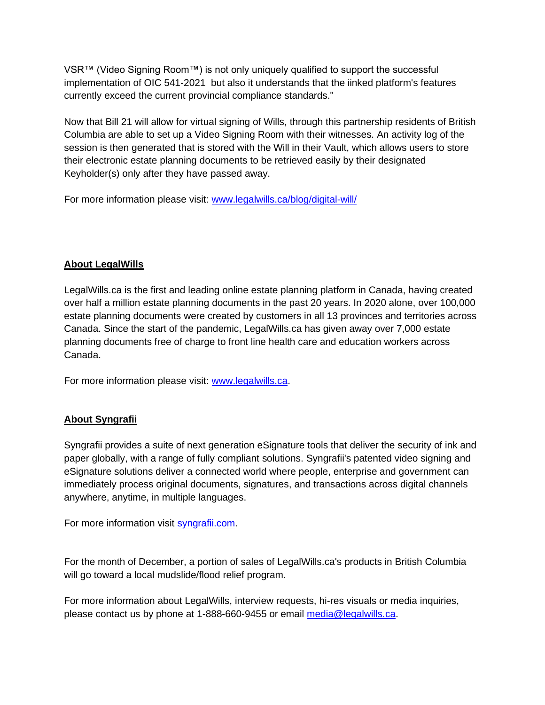VSR™ (Video Signing Room™) is not only uniquely qualified to support the successful implementation of OIC 541-2021 but also it understands that the iinked platform's features currently exceed the current provincial compliance standards."

Now that Bill 21 will allow for virtual signing of Wills, through this partnership residents of British Columbia are able to set up a Video Signing Room with their witnesses. An activity log of the session is then generated that is stored with the Will in their Vault, which allows users to store their electronic estate planning documents to be retrieved easily by their designated Keyholder(s) only after they have passed away.

For more information please visit: [www.legalwills.ca/blog/digital-will/](https://www.legalwills.ca/blog/digital-will/)

## **About LegalWills**

LegalWills.ca is the first and leading online estate planning platform in Canada, having created over half a million estate planning documents in the past 20 years. In 2020 alone, over 100,000 estate planning documents were created by customers in all 13 provinces and territories across Canada. Since the start of the pandemic, LegalWills.ca has given away over 7,000 estate planning documents free of charge to front line health care and education workers across Canada.

For more information please visit: [www.legalwills.ca.](https://www.legalwills.ca/)

## **About Syngrafii**

Syngrafii provides a suite of next generation eSignature tools that deliver the security of ink and paper globally, with a range of fully compliant solutions. Syngrafii's patented video signing and eSignature solutions deliver a connected world where people, enterprise and government can immediately process original documents, signatures, and transactions across digital channels anywhere, anytime, in multiple languages.

For more information visit [syngrafii.com.](https://syngrafii.com/)

For the month of December, a portion of sales of LegalWills.ca's products in British Columbia will go toward a local mudslide/flood relief program.

For more information about LegalWills, interview requests, hi-res visuals or media inquiries, please contact us by phone at 1-888-660-9455 or email [media@legalwills.ca.](mailto:media@legalwills.ca)